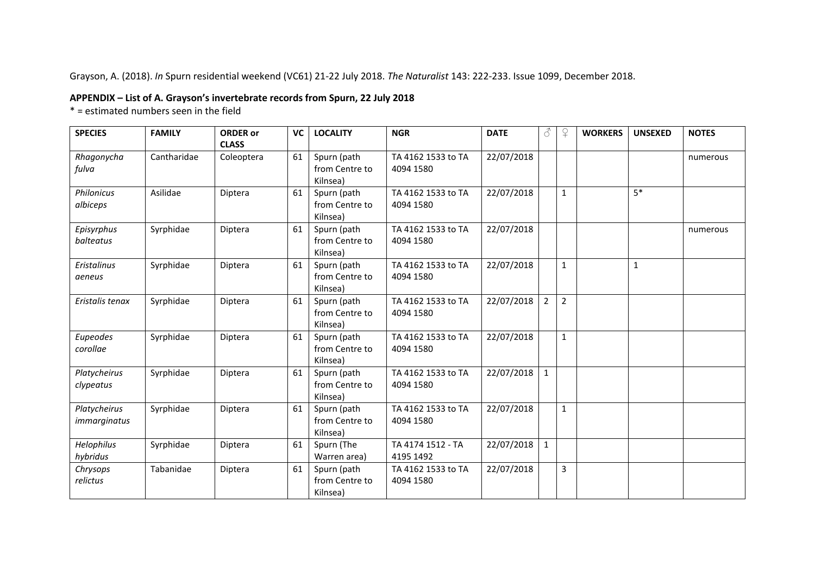Grayson, A. (2018). *In* Spurn residential weekend (VC61) 21-22 July 2018. *The Naturalist* 143: 222-233. Issue 1099, December 2018.

## **APPENDIX – List of A. Grayson's invertebrate records from Spurn, 22 July 2018**

 $*$  = estimated numbers seen in the field

| <b>SPECIES</b>               | <b>FAMILY</b> | <b>ORDER or</b>            | VC | <b>LOCALITY</b>                           | <b>NGR</b>                      | <b>DATE</b> | 8              | $\Omega$       | <b>WORKERS</b> | <b>UNSEXED</b> | <b>NOTES</b> |
|------------------------------|---------------|----------------------------|----|-------------------------------------------|---------------------------------|-------------|----------------|----------------|----------------|----------------|--------------|
| Rhagonycha<br>fulva          | Cantharidae   | <b>CLASS</b><br>Coleoptera | 61 | Spurn (path<br>from Centre to<br>Kilnsea) | TA 4162 1533 to TA<br>4094 1580 | 22/07/2018  |                |                |                |                | numerous     |
| Philonicus<br>albiceps       | Asilidae      | Diptera                    | 61 | Spurn (path<br>from Centre to<br>Kilnsea) | TA 4162 1533 to TA<br>4094 1580 | 22/07/2018  |                | $\mathbf{1}$   |                | $5*$           |              |
| Episyrphus<br>balteatus      | Syrphidae     | Diptera                    | 61 | Spurn (path<br>from Centre to<br>Kilnsea) | TA 4162 1533 to TA<br>4094 1580 | 22/07/2018  |                |                |                |                | numerous     |
| <b>Eristalinus</b><br>aeneus | Syrphidae     | Diptera                    | 61 | Spurn (path<br>from Centre to<br>Kilnsea) | TA 4162 1533 to TA<br>4094 1580 | 22/07/2018  |                | $\mathbf{1}$   |                | $\mathbf{1}$   |              |
| Eristalis tenax              | Syrphidae     | Diptera                    | 61 | Spurn (path<br>from Centre to<br>Kilnsea) | TA 4162 1533 to TA<br>4094 1580 | 22/07/2018  | $\overline{2}$ | $\overline{2}$ |                |                |              |
| Eupeodes<br>corollae         | Syrphidae     | Diptera                    | 61 | Spurn (path<br>from Centre to<br>Kilnsea) | TA 4162 1533 to TA<br>4094 1580 | 22/07/2018  |                | $\mathbf{1}$   |                |                |              |
| Platycheirus<br>clypeatus    | Syrphidae     | Diptera                    | 61 | Spurn (path<br>from Centre to<br>Kilnsea) | TA 4162 1533 to TA<br>4094 1580 | 22/07/2018  | $\mathbf{1}$   |                |                |                |              |
| Platycheirus<br>immarginatus | Syrphidae     | Diptera                    | 61 | Spurn (path<br>from Centre to<br>Kilnsea) | TA 4162 1533 to TA<br>4094 1580 | 22/07/2018  |                | $\mathbf{1}$   |                |                |              |
| Helophilus<br>hybridus       | Syrphidae     | Diptera                    | 61 | Spurn (The<br>Warren area)                | TA 4174 1512 - TA<br>4195 1492  | 22/07/2018  | $\mathbf{1}$   |                |                |                |              |
| Chrysops<br>relictus         | Tabanidae     | Diptera                    | 61 | Spurn (path<br>from Centre to<br>Kilnsea) | TA 4162 1533 to TA<br>4094 1580 | 22/07/2018  |                | 3              |                |                |              |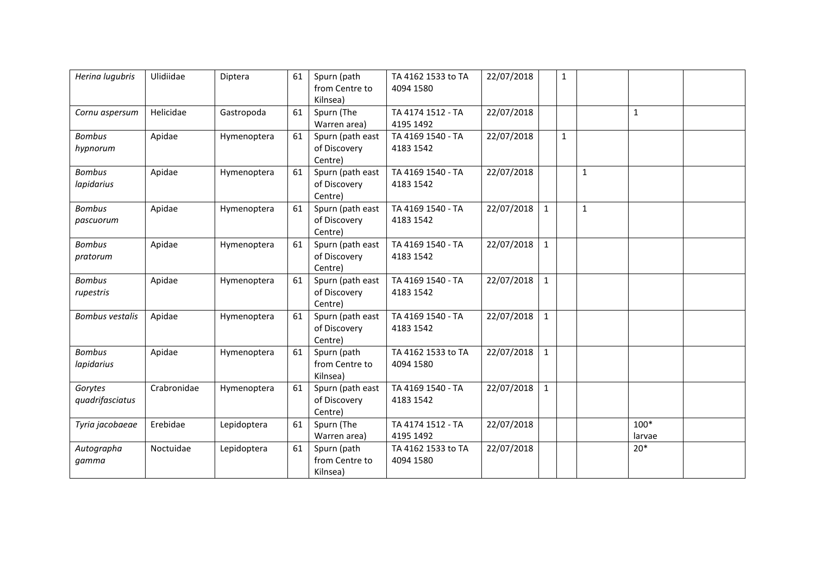| Herina lugubris             | Ulidiidae   | Diptera     | 61 | Spurn (path<br>from Centre to<br>Kilnsea)   | TA 4162 1533 to TA<br>4094 1580 | 22/07/2018 |              | $\mathbf{1}$ |              |                  |  |
|-----------------------------|-------------|-------------|----|---------------------------------------------|---------------------------------|------------|--------------|--------------|--------------|------------------|--|
| Cornu aspersum              | Helicidae   | Gastropoda  | 61 | Spurn (The<br>Warren area)                  | TA 4174 1512 - TA<br>4195 1492  | 22/07/2018 |              |              |              | 1                |  |
| <b>Bombus</b><br>hypnorum   | Apidae      | Hymenoptera | 61 | Spurn (path east<br>of Discovery<br>Centre) | TA 4169 1540 - TA<br>4183 1542  | 22/07/2018 |              | $\mathbf{1}$ |              |                  |  |
| <b>Bombus</b><br>lapidarius | Apidae      | Hymenoptera | 61 | Spurn (path east<br>of Discovery<br>Centre) | TA 4169 1540 - TA<br>4183 1542  | 22/07/2018 |              |              | $\mathbf{1}$ |                  |  |
| <b>Bombus</b><br>pascuorum  | Apidae      | Hymenoptera | 61 | Spurn (path east<br>of Discovery<br>Centre) | TA 4169 1540 - TA<br>4183 1542  | 22/07/2018 | $\mathbf{1}$ |              | $\mathbf{1}$ |                  |  |
| <b>Bombus</b><br>pratorum   | Apidae      | Hymenoptera | 61 | Spurn (path east<br>of Discovery<br>Centre) | TA 4169 1540 - TA<br>4183 1542  | 22/07/2018 | $\mathbf{1}$ |              |              |                  |  |
| <b>Bombus</b><br>rupestris  | Apidae      | Hymenoptera | 61 | Spurn (path east<br>of Discovery<br>Centre) | TA 4169 1540 - TA<br>4183 1542  | 22/07/2018 | $\mathbf{1}$ |              |              |                  |  |
| <b>Bombus vestalis</b>      | Apidae      | Hymenoptera | 61 | Spurn (path east<br>of Discovery<br>Centre) | TA 4169 1540 - TA<br>4183 1542  | 22/07/2018 | 1            |              |              |                  |  |
| <b>Bombus</b><br>lapidarius | Apidae      | Hymenoptera | 61 | Spurn (path<br>from Centre to<br>Kilnsea)   | TA 4162 1533 to TA<br>4094 1580 | 22/07/2018 | $\mathbf{1}$ |              |              |                  |  |
| Gorytes<br>quadrifasciatus  | Crabronidae | Hymenoptera | 61 | Spurn (path east<br>of Discovery<br>Centre) | TA 4169 1540 - TA<br>4183 1542  | 22/07/2018 | $\mathbf{1}$ |              |              |                  |  |
| Tyria jacobaeae             | Erebidae    | Lepidoptera | 61 | Spurn (The<br>Warren area)                  | TA 4174 1512 - TA<br>4195 1492  | 22/07/2018 |              |              |              | $100*$<br>larvae |  |
| Autographa<br>gamma         | Noctuidae   | Lepidoptera | 61 | Spurn (path<br>from Centre to<br>Kilnsea)   | TA 4162 1533 to TA<br>4094 1580 | 22/07/2018 |              |              |              | $20*$            |  |